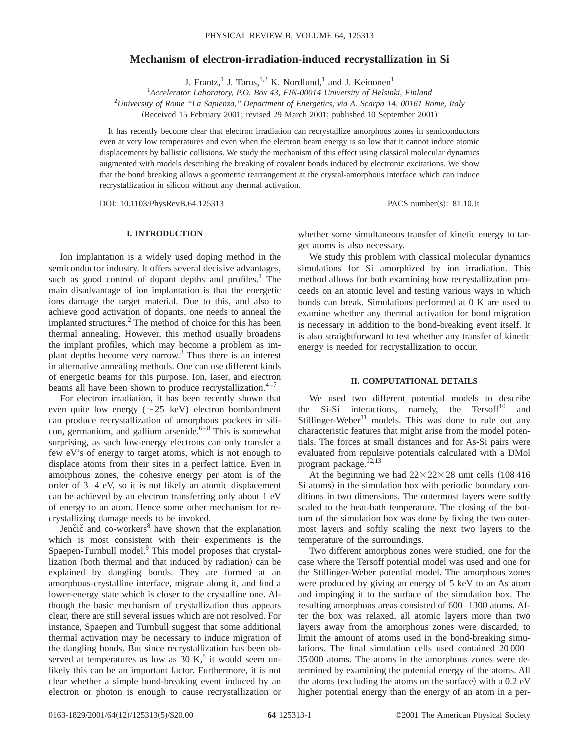## **Mechanism of electron-irradiation-induced recrystallization in Si**

J. Frantz,<sup>1</sup> J. Tarus,<sup>1,2</sup> K. Nordlund,<sup>1</sup> and J. Keinonen<sup>1</sup>

1 *Accelerator Laboratory, P.O. Box 43, FIN-00014 University of Helsinki, Finland* 2 *University of Rome ''La Sapienza,'' Department of Energetics, via A. Scarpa 14, 00161 Rome, Italy*

(Received 15 February 2001; revised 29 March 2001; published 10 September 2001)

It has recently become clear that electron irradiation can recrystallize amorphous zones in semiconductors even at very low temperatures and even when the electron beam energy is so low that it cannot induce atomic displacements by ballistic collisions. We study the mechanism of this effect using classical molecular dynamics augmented with models describing the breaking of covalent bonds induced by electronic excitations. We show that the bond breaking allows a geometric rearrangement at the crystal-amorphous interface which can induce recrystallization in silicon without any thermal activation.

DOI: 10.1103/PhysRevB.64.125313 PACS number(s): 81.10.Jt

# **I. INTRODUCTION**

Ion implantation is a widely used doping method in the semiconductor industry. It offers several decisive advantages, such as good control of dopant depths and profiles.<sup>1</sup> The main disadvantage of ion implantation is that the energetic ions damage the target material. Due to this, and also to achieve good activation of dopants, one needs to anneal the implanted structures.<sup>2</sup> The method of choice for this has been thermal annealing. However, this method usually broadens the implant profiles, which may become a problem as implant depths become very narrow.<sup>3</sup> Thus there is an interest in alternative annealing methods. One can use different kinds of energetic beams for this purpose. Ion, laser, and electron beams all have been shown to produce recrystallization.<sup>4–7</sup>

For electron irradiation, it has been recently shown that even quite low energy ( $\sim$ 25 keV) electron bombardment can produce recrystallization of amorphous pockets in silicon, germanium, and gallium arsenide. $6-8$  This is somewhat surprising, as such low-energy electrons can only transfer a few eV's of energy to target atoms, which is not enough to displace atoms from their sites in a perfect lattice. Even in amorphous zones, the cohesive energy per atom is of the order of 3–4 eV, so it is not likely an atomic displacement can be achieved by an electron transferring only about 1 eV of energy to an atom. Hence some other mechanism for recrystallizing damage needs to be invoked.

Jenčič and co-workers<sup>8</sup> have shown that the explanation which is most consistent with their experiments is the Spaepen-Turnbull model.<sup>9</sup> This model proposes that crystallization (both thermal and that induced by radiation) can be explained by dangling bonds. They are formed at an amorphous-crystalline interface, migrate along it, and find a lower-energy state which is closer to the crystalline one. Although the basic mechanism of crystallization thus appears clear, there are still several issues which are not resolved. For instance, Spaepen and Turnbull suggest that some additional thermal activation may be necessary to induce migration of the dangling bonds. But since recrystallization has been observed at temperatures as low as 30 K, $8$  it would seem unlikely this can be an important factor. Furthermore, it is not clear whether a simple bond-breaking event induced by an electron or photon is enough to cause recrystallization or

whether some simultaneous transfer of kinetic energy to target atoms is also necessary.

We study this problem with classical molecular dynamics simulations for Si amorphized by ion irradiation. This method allows for both examining how recrystallization proceeds on an atomic level and testing various ways in which bonds can break. Simulations performed at 0 K are used to examine whether any thermal activation for bond migration is necessary in addition to the bond-breaking event itself. It is also straightforward to test whether any transfer of kinetic energy is needed for recrystallization to occur.

### **II. COMPUTATIONAL DETAILS**

We used two different potential models to describe the Si-Si interactions, namely, the  $Tersoff<sup>10</sup>$  and Stillinger-Weber<sup>11</sup> models. This was done to rule out any characteristic features that might arise from the model potentials. The forces at small distances and for As-Si pairs were evaluated from repulsive potentials calculated with a DMol program package.<sup>12,13</sup>

At the beginning we had  $22\times22\times28$  unit cells (108 416 Si atoms) in the simulation box with periodic boundary conditions in two dimensions. The outermost layers were softly scaled to the heat-bath temperature. The closing of the bottom of the simulation box was done by fixing the two outermost layers and softly scaling the next two layers to the temperature of the surroundings.

Two different amorphous zones were studied, one for the case where the Tersoff potential model was used and one for the Stillinger-Weber potential model. The amorphous zones were produced by giving an energy of 5 keV to an As atom and impinging it to the surface of the simulation box. The resulting amorphous areas consisted of 600–1300 atoms. After the box was relaxed, all atomic layers more than two layers away from the amorphous zones were discarded, to limit the amount of atoms used in the bond-breaking simulations. The final simulation cells used contained 20 000– 35 000 atoms. The atoms in the amorphous zones were determined by examining the potential energy of the atoms. All the atoms (excluding the atoms on the surface) with a  $0.2 \text{ eV}$ higher potential energy than the energy of an atom in a per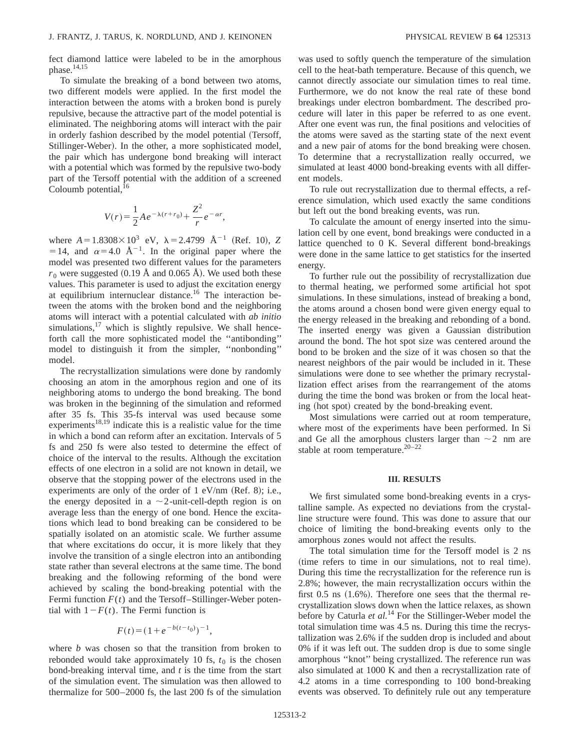fect diamond lattice were labeled to be in the amorphous phase.<sup>14,15</sup>

To simulate the breaking of a bond between two atoms, two different models were applied. In the first model the interaction between the atoms with a broken bond is purely repulsive, because the attractive part of the model potential is eliminated. The neighboring atoms will interact with the pair in orderly fashion described by the model potential (Tersoff, Stillinger-Weber). In the other, a more sophisticated model, the pair which has undergone bond breaking will interact with a potential which was formed by the repulsive two-body part of the Tersoff potential with the addition of a screened Coloumb potential, <sup>16</sup>

$$
V(r) = \frac{1}{2} A e^{-\lambda (r + r_0)} + \frac{Z^2}{r} e^{-\alpha r},
$$

where  $A = 1.8308 \times 10^3$  eV,  $\lambda = 2.4799$   $\text{\AA}^{-1}$  (Ref. 10), *Z* =14, and  $\alpha$ =4.0 Å<sup>-1</sup>. In the original paper where the model was presented two different values for the parameters  $r_0$  were suggested (0.19 Å and 0.065 Å). We used both these values. This parameter is used to adjust the excitation energy at equilibrium internuclear distance.<sup>16</sup> The interaction between the atoms with the broken bond and the neighboring atoms will interact with a potential calculated with *ab initio* simulations, $17$  which is slightly repulsive. We shall henceforth call the more sophisticated model the ''antibonding'' model to distinguish it from the simpler, ''nonbonding'' model.

The recrystallization simulations were done by randomly choosing an atom in the amorphous region and one of its neighboring atoms to undergo the bond breaking. The bond was broken in the beginning of the simulation and reformed after 35 fs. This 35-fs interval was used because some experiments<sup>18,19</sup> indicate this is a realistic value for the time in which a bond can reform after an excitation. Intervals of 5 fs and 250 fs were also tested to determine the effect of choice of the interval to the results. Although the excitation effects of one electron in a solid are not known in detail, we observe that the stopping power of the electrons used in the experiments are only of the order of  $1$  eV/nm (Ref. 8); i.e., the energy deposited in a  $\sim$  2-unit-cell-depth region is on average less than the energy of one bond. Hence the excitations which lead to bond breaking can be considered to be spatially isolated on an atomistic scale. We further assume that where excitations do occur, it is more likely that they involve the transition of a single electron into an antibonding state rather than several electrons at the same time. The bond breaking and the following reforming of the bond were achieved by scaling the bond-breaking potential with the Fermi function  $F(t)$  and the Tersoff–Stillinger-Weber potential with  $1-F(t)$ . The Fermi function is

$$
F(t) = (1 + e^{-b(t - t_0)})^{-1},
$$

where *b* was chosen so that the transition from broken to rebonded would take approximately 10 fs,  $t_0$  is the chosen bond-breaking interval time, and *t* is the time from the start of the simulation event. The simulation was then allowed to thermalize for 500–2000 fs, the last 200 fs of the simulation was used to softly quench the temperature of the simulation cell to the heat-bath temperature. Because of this quench, we cannot directly associate our simulation times to real time. Furthermore, we do not know the real rate of these bond breakings under electron bombardment. The described procedure will later in this paper be referred to as one event. After one event was run, the final positions and velocities of the atoms were saved as the starting state of the next event and a new pair of atoms for the bond breaking were chosen. To determine that a recrystallization really occurred, we simulated at least 4000 bond-breaking events with all different models.

To rule out recrystallization due to thermal effects, a reference simulation, which used exactly the same conditions but left out the bond breaking events, was run.

To calculate the amount of energy inserted into the simulation cell by one event, bond breakings were conducted in a lattice quenched to 0 K. Several different bond-breakings were done in the same lattice to get statistics for the inserted energy.

To further rule out the possibility of recrystallization due to thermal heating, we performed some artificial hot spot simulations. In these simulations, instead of breaking a bond, the atoms around a chosen bond were given energy equal to the energy released in the breaking and rebonding of a bond. The inserted energy was given a Gaussian distribution around the bond. The hot spot size was centered around the bond to be broken and the size of it was chosen so that the nearest neighbors of the pair would be included in it. These simulations were done to see whether the primary recrystallization effect arises from the rearrangement of the atoms during the time the bond was broken or from the local heating (hot spot) created by the bond-breaking event.

Most simulations were carried out at room temperature, where most of the experiments have been performed. In Si and Ge all the amorphous clusters larger than  $\sim$  2 nm are stable at room temperature. $20-22$ 

## **III. RESULTS**

We first simulated some bond-breaking events in a crystalline sample. As expected no deviations from the crystalline structure were found. This was done to assure that our choice of limiting the bond-breaking events only to the amorphous zones would not affect the results.

The total simulation time for the Tersoff model is 2 ns (time refers to time in our simulations, not to real time). During this time the recrystallization for the reference run is 2.8%; however, the main recrystallization occurs within the first  $0.5$  ns  $(1.6\%)$ . Therefore one sees that the thermal recrystallization slows down when the lattice relaxes, as shown before by Caturla *et al.*<sup>14</sup> For the Stillinger-Weber model the total simulation time was 4.5 ns. During this time the recrystallization was 2.6% if the sudden drop is included and about 0% if it was left out. The sudden drop is due to some single amorphous ''knot'' being crystallized. The reference run was also simulated at 1000 K and then a recrystallization rate of 4.2 atoms in a time corresponding to 100 bond-breaking events was observed. To definitely rule out any temperature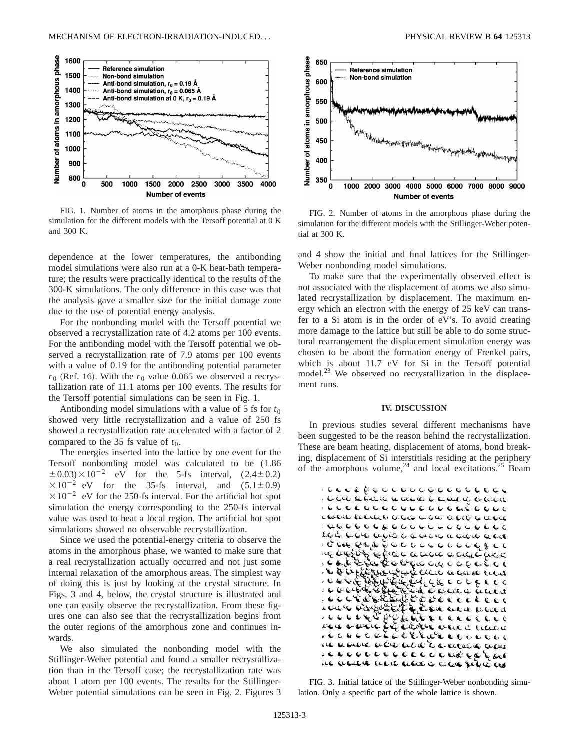

FIG. 1. Number of atoms in the amorphous phase during the simulation for the different models with the Tersoff potential at 0 K and 300 K.

dependence at the lower temperatures, the antibonding model simulations were also run at a 0-K heat-bath temperature; the results were practically identical to the results of the 300-K simulations. The only difference in this case was that the analysis gave a smaller size for the initial damage zone due to the use of potential energy analysis.

For the nonbonding model with the Tersoff potential we observed a recrystallization rate of 4.2 atoms per 100 events. For the antibonding model with the Tersoff potential we observed a recrystallization rate of 7.9 atoms per 100 events with a value of 0.19 for the antibonding potential parameter  $r_0$  (Ref. 16). With the  $r_0$  value 0.065 we observed a recrystallization rate of 11.1 atoms per 100 events. The results for the Tersoff potential simulations can be seen in Fig. 1.

Antibonding model simulations with a value of 5 fs for  $t_0$ showed very little recrystallization and a value of 250 fs showed a recrystallization rate accelerated with a factor of 2 compared to the 35 fs value of  $t_0$ .

The energies inserted into the lattice by one event for the Tersoff nonbonding model was calculated to be (1.86  $\pm 0.03$ ) $\times 10^{-2}$  eV for the 5-fs interval, (2.4 $\pm$ 0.2)  $\times 10^{-2}$  eV for the 35-fs interval, and (5.1 $\pm$ 0.9)  $\times 10^{-2}$  eV for the 250-fs interval. For the artificial hot spot simulation the energy corresponding to the 250-fs interval value was used to heat a local region. The artificial hot spot simulations showed no observable recrystallization.

Since we used the potential-energy criteria to observe the atoms in the amorphous phase, we wanted to make sure that a real recrystallization actually occurred and not just some internal relaxation of the amorphous areas. The simplest way of doing this is just by looking at the crystal structure. In Figs. 3 and 4, below, the crystal structure is illustrated and one can easily observe the recrystallization. From these figures one can also see that the recrystallization begins from the outer regions of the amorphous zone and continues inwards.

We also simulated the nonbonding model with the Stillinger-Weber potential and found a smaller recrystallization than in the Tersoff case; the recrystallization rate was about 1 atom per 100 events. The results for the Stillinger-Weber potential simulations can be seen in Fig. 2. Figures 3



FIG. 2. Number of atoms in the amorphous phase during the simulation for the different models with the Stillinger-Weber potential at 300 K.

and 4 show the initial and final lattices for the Stillinger-Weber nonbonding model simulations.

To make sure that the experimentally observed effect is not associated with the displacement of atoms we also simulated recrystallization by displacement. The maximum energy which an electron with the energy of 25 keV can transfer to a Si atom is in the order of eV's. To avoid creating more damage to the lattice but still be able to do some structural rearrangement the displacement simulation energy was chosen to be about the formation energy of Frenkel pairs, which is about 11.7 eV for Si in the Tersoff potential model.<sup>23</sup> We observed no recrystallization in the displacement runs.

#### **IV. DISCUSSION**

In previous studies several different mechanisms have been suggested to be the reason behind the recrystallization. These are beam heating, displacement of atoms, bond breaking, displacement of Si interstitials residing at the periphery of the amorphous volume,  $24$  and local excitations.  $25$  Beam



FIG. 3. Initial lattice of the Stillinger-Weber nonbonding simulation. Only a specific part of the whole lattice is shown.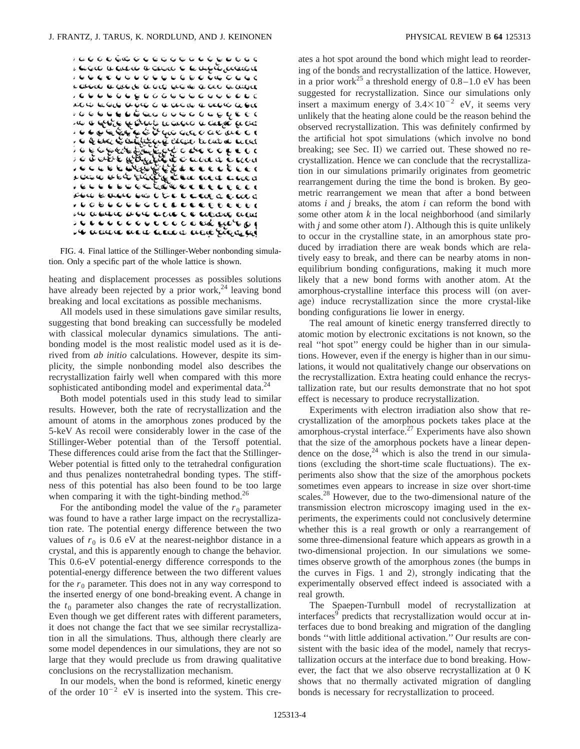

FIG. 4. Final lattice of the Stillinger-Weber nonbonding simulation. Only a specific part of the whole lattice is shown.

heating and displacement processes as possibles solutions have already been rejected by a prior work,<sup>24</sup> leaving bond breaking and local excitations as possible mechanisms.

All models used in these simulations gave similar results, suggesting that bond breaking can successfully be modeled with classical molecular dynamics simulations. The antibonding model is the most realistic model used as it is derived from *ab initio* calculations. However, despite its simplicity, the simple nonbonding model also describes the recrystallization fairly well when compared with this more sophisticated antibonding model and experimental data.<sup>24</sup>

Both model potentials used in this study lead to similar results. However, both the rate of recrystallization and the amount of atoms in the amorphous zones produced by the 5-keV As recoil were considerably lower in the case of the Stillinger-Weber potential than of the Tersoff potential. These differences could arise from the fact that the Stillinger-Weber potential is fitted only to the tetrahedral configuration and thus penalizes nontetrahedral bonding types. The stiffness of this potential has also been found to be too large when comparing it with the tight-binding method.<sup>26</sup>

For the antibonding model the value of the  $r_0$  parameter was found to have a rather large impact on the recrystallization rate. The potential energy difference between the two values of  $r_0$  is 0.6 eV at the nearest-neighbor distance in a crystal, and this is apparently enough to change the behavior. This 0.6-eV potential-energy difference corresponds to the potential-energy difference between the two different values for the  $r_0$  parameter. This does not in any way correspond to the inserted energy of one bond-breaking event. A change in the  $t_0$  parameter also changes the rate of recrystallization. Even though we get different rates with different parameters, it does not change the fact that we see similar recrystallization in all the simulations. Thus, although there clearly are some model dependences in our simulations, they are not so large that they would preclude us from drawing qualitative conclusions on the recrystallization mechanism.

In our models, when the bond is reformed, kinetic energy of the order  $10^{-2}$  eV is inserted into the system. This creates a hot spot around the bond which might lead to reordering of the bonds and recrystallization of the lattice. However, in a prior work<sup>25</sup> a threshold energy of  $0.8-1.0$  eV has been suggested for recrystallization. Since our simulations only insert a maximum energy of  $3.4 \times 10^{-2}$  eV, it seems very unlikely that the heating alone could be the reason behind the observed recrystallization. This was definitely confirmed by the artificial hot spot simulations (which involve no bond breaking; see Sec. II) we carried out. These showed no recrystallization. Hence we can conclude that the recrystallization in our simulations primarily originates from geometric rearrangement during the time the bond is broken. By geometric rearrangement we mean that after a bond between atoms *i* and *j* breaks, the atom *i* can reform the bond with some other atom  $k$  in the local neighborhood (and similarly with *j* and some other atom *l*). Although this is quite unlikely to occur in the crystalline state, in an amorphous state produced by irradiation there are weak bonds which are relatively easy to break, and there can be nearby atoms in nonequilibrium bonding configurations, making it much more likely that a new bond forms with another atom. At the amorphous-crystalline interface this process will (on average) induce recrystallization since the more crystal-like bonding configurations lie lower in energy.

The real amount of kinetic energy transferred directly to atomic motion by electronic excitations is not known, so the real ''hot spot'' energy could be higher than in our simulations. However, even if the energy is higher than in our simulations, it would not qualitatively change our observations on the recrystallization. Extra heating could enhance the recrystallization rate, but our results demonstrate that no hot spot effect is necessary to produce recrystallization.

Experiments with electron irradiation also show that recrystallization of the amorphous pockets takes place at the amorphous-crystal interface.27 Experiments have also shown that the size of the amorphous pockets have a linear dependence on the dose, $^{24}$  which is also the trend in our simulations (excluding the short-time scale fluctuations). The experiments also show that the size of the amorphous pockets sometimes even appears to increase in size over short-time scales.<sup>28</sup> However, due to the two-dimensional nature of the transmission electron microscopy imaging used in the experiments, the experiments could not conclusively determine whether this is a real growth or only a rearrangement of some three-dimensional feature which appears as growth in a two-dimensional projection. In our simulations we sometimes observe growth of the amorphous zones (the bumps in the curves in Figs. 1 and 2), strongly indicating that the experimentally observed effect indeed is associated with a real growth.

The Spaepen-Turnbull model of recrystallization at interfaces<sup>9</sup> predicts that recrystallization would occur at interfaces due to bond breaking and migration of the dangling bonds ''with little additional activation.'' Our results are consistent with the basic idea of the model, namely that recrystallization occurs at the interface due to bond breaking. However, the fact that we also observe recrystallization at 0 K shows that no thermally activated migration of dangling bonds is necessary for recrystallization to proceed.